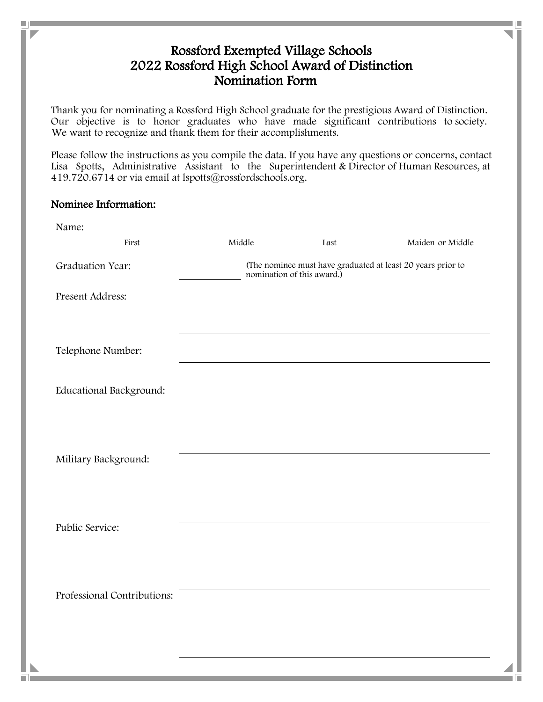## Rossford Exempted Village Schools 2022 Rossford High School Award of Distinction Nomination Form

We want to recognize and thank them for their accomplishments. Our objective is to honor graduates who have made significant contributions to society. Thank you for nominating a Rossford High School graduate for the prestigious Award of Distinction.

Lisa Spotts, Administrative Assistant to the Superintendent & Director of Human Resources, atPlease follow the instructions as you compile the data. If you have any questions or concerns, contact 419.720.6714 or via email at lspotts@rossfordschools.org.

## Nominee Information:

۰

| Name:                       |                                                                                           |      |                  |
|-----------------------------|-------------------------------------------------------------------------------------------|------|------------------|
| First                       | Middle                                                                                    | Last | Maiden or Middle |
| Graduation Year:            | (The nominee must have graduated at least 20 years prior to<br>nomination of this award.) |      |                  |
| Present Address:            |                                                                                           |      |                  |
|                             |                                                                                           |      |                  |
| Telephone Number:           |                                                                                           |      |                  |
| Educational Background:     |                                                                                           |      |                  |
|                             |                                                                                           |      |                  |
|                             |                                                                                           |      |                  |
| Military Background:        |                                                                                           |      |                  |
|                             |                                                                                           |      |                  |
|                             |                                                                                           |      |                  |
| Public Service:             |                                                                                           |      |                  |
|                             |                                                                                           |      |                  |
| Professional Contributions: |                                                                                           |      |                  |
|                             |                                                                                           |      |                  |
|                             |                                                                                           |      |                  |
|                             |                                                                                           |      |                  |